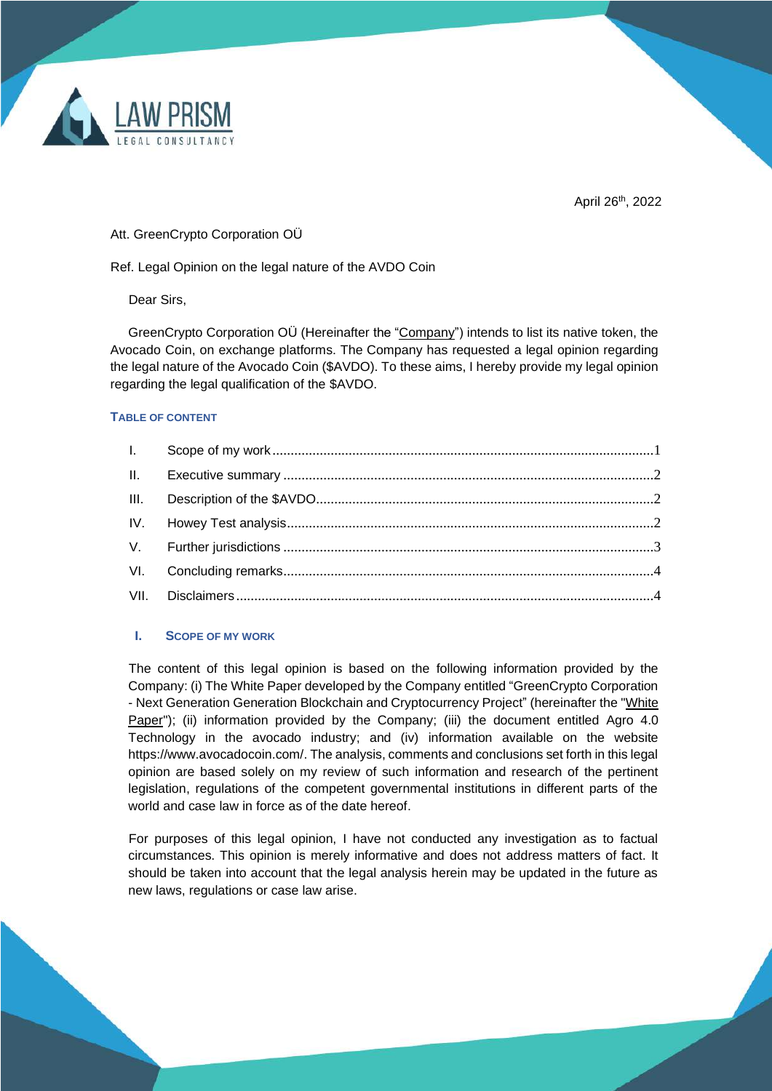

April 26<sup>th</sup>, 2022

## Att. GreenCrypto Corporation OÜ

Ref. Legal Opinion on the legal nature of the AVDO Coin

Dear Sirs,

GreenCrypto Corporation OÜ (Hereinafter the "Company") intends to list its native token, the Avocado Coin, on exchange platforms. The Company has requested a legal opinion regarding the legal nature of the Avocado Coin (\$AVDO). To these aims, I hereby provide my legal opinion regarding the legal qualification of the \$AVDO.

## **TABLE OF CONTENT**

# <span id="page-0-0"></span>**I. SCOPE OF MY WORK**

The content of this legal opinion is based on the following information provided by the Company: (i) The White Paper developed by the Company entitled "GreenCrypto Corporation - Next Generation Generation Blockchain and Cryptocurrency Project" (hereinafter the "White Paper"); (ii) information provided by the Company; (iii) the document entitled Agro 4.0 Technology in the avocado industry; and (iv) information available on the website https://www.avocadocoin.com/. The analysis, comments and conclusions set forth in this legal opinion are based solely on my review of such information and research of the pertinent legislation, regulations of the competent governmental institutions in different parts of the world and case law in force as of the date hereof

For purposes of this legal opinion, I have not conducted any investigation as to factual circumstances. This opinion is merely informative and does not address matters of fact. It should be taken into account that the legal analysis herein may be updated in the future as new laws, regulations or case law arise.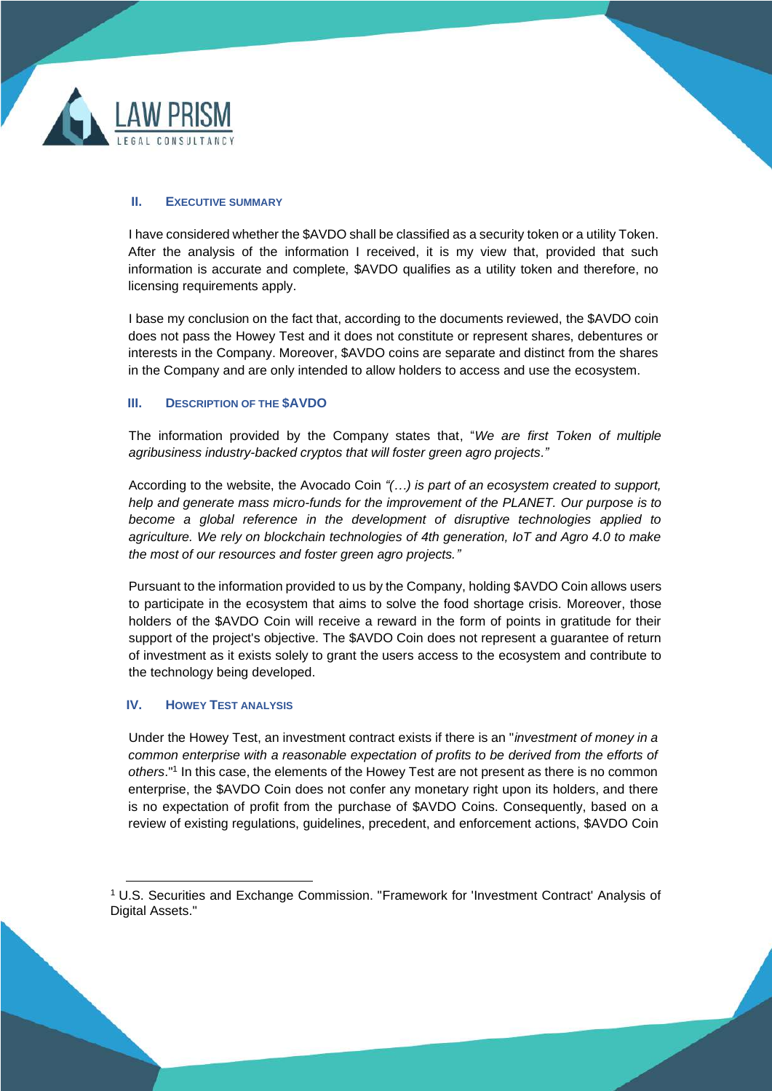

## <span id="page-1-0"></span>**II. EXECUTIVE SUMMARY**

I have considered whether the \$AVDO shall be classified as a security token or a utility Token. After the analysis of the information I received, it is my view that, provided that such information is accurate and complete, \$AVDO qualifies as a utility token and therefore, no licensing requirements apply.

I base my conclusion on the fact that, according to the documents reviewed, the \$AVDO coin does not pass the Howey Test and it does not constitute or represent shares, debentures or interests in the Company. Moreover, \$AVDO coins are separate and distinct from the shares in the Company and are only intended to allow holders to access and use the ecosystem.

## <span id="page-1-1"></span>**III. DESCRIPTION OF THE \$AVDO**

The information provided by the Company states that, "*We are first Token of multiple agribusiness industry-backed cryptos that will foster green agro projects."* 

According to the website, the Avocado Coin *"(…) is part of an ecosystem created to support, help and generate mass micro-funds for the improvement of the PLANET. Our purpose is to become a global reference in the development of disruptive technologies applied to agriculture. We rely on blockchain technologies of 4th generation, IoT and Agro 4.0 to make the most of our resources and foster green agro projects."*

Pursuant to the information provided to us by the Company, holding \$AVDO Coin allows users to participate in the ecosystem that aims to solve the food shortage crisis. Moreover, those holders of the \$AVDO Coin will receive a reward in the form of points in gratitude for their support of the project's objective. The \$AVDO Coin does not represent a guarantee of return of investment as it exists solely to grant the users access to the ecosystem and contribute to the technology being developed.

# <span id="page-1-2"></span>**IV. HOWEY TEST ANALYSIS**

Under the Howey Test, an investment contract exists if there is an "*investment of money in a common enterprise with a reasonable expectation of profits to be derived from the efforts of*  others."<sup>1</sup> In this case, the elements of the Howey Test are not present as there is no common enterprise, the \$AVDO Coin does not confer any monetary right upon its holders, and there is no expectation of profit from the purchase of \$AVDO Coins. Consequently, based on a review of existing regulations, guidelines, precedent, and enforcement actions, \$AVDO Coin

<sup>1</sup> U.S. Securities and Exchange Commission. ["Framework for 'Investment Contract' Analysis of](https://www.sec.gov/corpfin/framework-investment-contract-analysis-digital-assets)  [Digital Assets.](https://www.sec.gov/corpfin/framework-investment-contract-analysis-digital-assets)"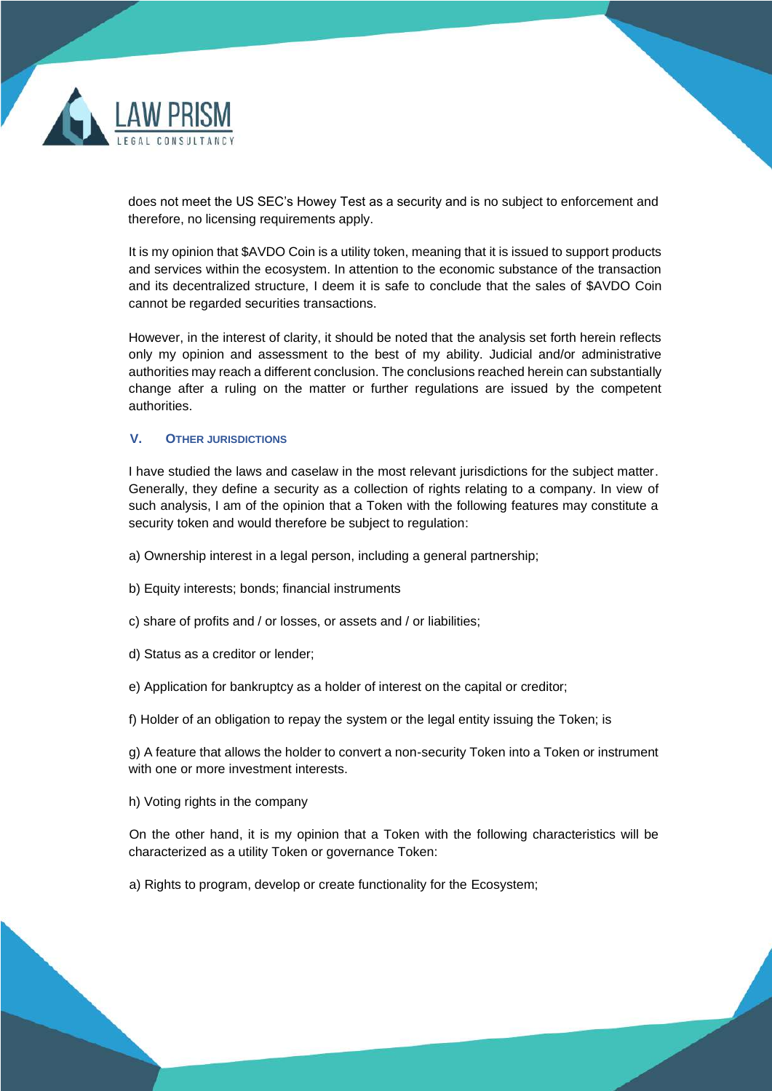

does not meet the US SEC's Howey Test as a security and is no subject to enforcement and therefore, no licensing requirements apply.

It is my opinion that \$AVDO Coin is a utility token, meaning that it is issued to support products and services within the ecosystem. In attention to the economic substance of the transaction and its decentralized structure, I deem it is safe to conclude that the sales of \$AVDO Coin cannot be regarded securities transactions.

However, in the interest of clarity, it should be noted that the analysis set forth herein reflects only my opinion and assessment to the best of my ability. Judicial and/or administrative authorities may reach a different conclusion. The conclusions reached herein can substantially change after a ruling on the matter or further regulations are issued by the competent authorities.

#### <span id="page-2-0"></span>**V. OTHER JURISDICTIONS**

I have studied the laws and caselaw in the most relevant jurisdictions for the subject matter. Generally, they define a security as a collection of rights relating to a company. In view of such analysis, I am of the opinion that a Token with the following features may constitute a security token and would therefore be subject to regulation:

- a) Ownership interest in a legal person, including a general partnership;
- b) Equity interests; bonds; financial instruments
- c) share of profits and / or losses, or assets and / or liabilities;
- d) Status as a creditor or lender;
- e) Application for bankruptcy as a holder of interest on the capital or creditor;
- f) Holder of an obligation to repay the system or the legal entity issuing the Token; is

g) A feature that allows the holder to convert a non-security Token into a Token or instrument with one or more investment interests.

h) Voting rights in the company

On the other hand, it is my opinion that a Token with the following characteristics will be characterized as a utility Token or governance Token:

a) Rights to program, develop or create functionality for the Ecosystem;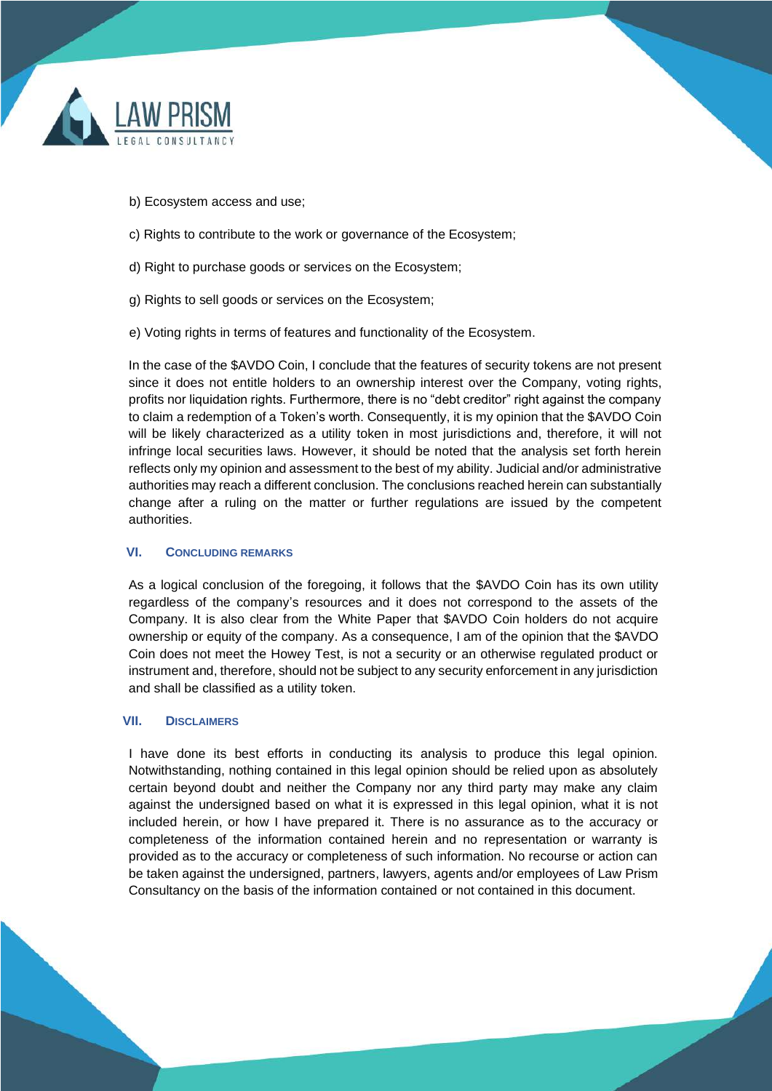

- b) Ecosystem access and use;
- c) Rights to contribute to the work or governance of the Ecosystem;
- d) Right to purchase goods or services on the Ecosystem;
- g) Rights to sell goods or services on the Ecosystem;
- e) Voting rights in terms of features and functionality of the Ecosystem.

In the case of the \$AVDO Coin, I conclude that the features of security tokens are not present since it does not entitle holders to an ownership interest over the Company, voting rights, profits nor liquidation rights. Furthermore, there is no "debt creditor" right against the company to claim a redemption of a Token's worth. Consequently, it is my opinion that the \$AVDO Coin will be likely characterized as a utility token in most jurisdictions and, therefore, it will not infringe local securities laws. However, it should be noted that the analysis set forth herein reflects only my opinion and assessment to the best of my ability. Judicial and/or administrative authorities may reach a different conclusion. The conclusions reached herein can substantially change after a ruling on the matter or further regulations are issued by the competent authorities.

#### <span id="page-3-0"></span>**VI. CONCLUDING REMARKS**

As a logical conclusion of the foregoing, it follows that the \$AVDO Coin has its own utility regardless of the company's resources and it does not correspond to the assets of the Company. It is also clear from the White Paper that \$AVDO Coin holders do not acquire ownership or equity of the company. As a consequence, I am of the opinion that the \$AVDO Coin does not meet the Howey Test, is not a security or an otherwise regulated product or instrument and, therefore, should not be subject to any security enforcement in any jurisdiction and shall be classified as a utility token.

#### <span id="page-3-1"></span>**VII. DISCLAIMERS**

I have done its best efforts in conducting its analysis to produce this legal opinion. Notwithstanding, nothing contained in this legal opinion should be relied upon as absolutely certain beyond doubt and neither the Company nor any third party may make any claim against the undersigned based on what it is expressed in this legal opinion, what it is not included herein, or how I have prepared it. There is no assurance as to the accuracy or completeness of the information contained herein and no representation or warranty is provided as to the accuracy or completeness of such information. No recourse or action can be taken against the undersigned, partners, lawyers, agents and/or employees of Law Prism Consultancy on the basis of the information contained or not contained in this document.